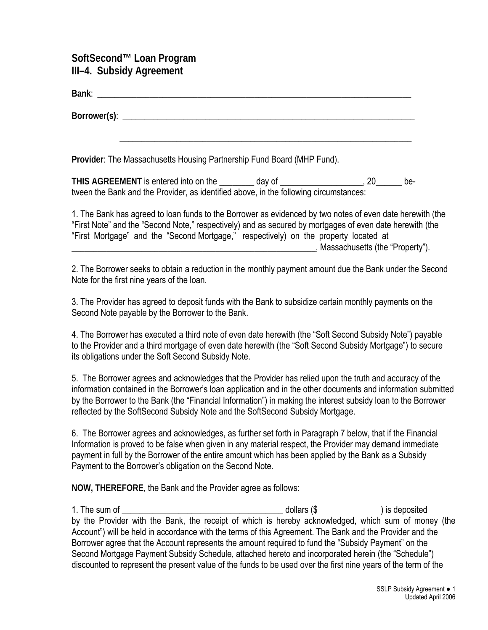## **SoftSecond™ Loan Program III–4. Subsidy Agreement**

| Provider: The Massachusetts Housing Partnership Fund Board (MHP Fund).                                                                                                            |  |     |  |  |  |  |
|-----------------------------------------------------------------------------------------------------------------------------------------------------------------------------------|--|-----|--|--|--|--|
| THIS AGREEMENT is entered into on the _________ day of ______________________, 20_______<br>tween the Bank and the Provider, as identified above, in the following circumstances: |  | be- |  |  |  |  |

1. The Bank has agreed to loan funds to the Borrower as evidenced by two notes of even date herewith (the "First Note" and the "Second Note," respectively) and as secured by mortgages of even date herewith (the "First Mortgage" and the "Second Mortgage," respectively) on the property located at \_\_\_\_\_\_\_\_\_\_\_\_\_\_\_\_\_\_\_\_\_\_\_\_\_\_\_\_\_\_\_\_\_\_\_\_\_\_\_\_\_\_\_\_\_\_\_\_\_\_\_\_\_\_\_\_, Massachusetts (the "Property").

2. The Borrower seeks to obtain a reduction in the monthly payment amount due the Bank under the Second Note for the first nine years of the loan.

3. The Provider has agreed to deposit funds with the Bank to subsidize certain monthly payments on the Second Note payable by the Borrower to the Bank.

4. The Borrower has executed a third note of even date herewith (the "Soft Second Subsidy Note") payable to the Provider and a third mortgage of even date herewith (the "Soft Second Subsidy Mortgage") to secure its obligations under the Soft Second Subsidy Note.

5. The Borrower agrees and acknowledges that the Provider has relied upon the truth and accuracy of the information contained in the Borrower's loan application and in the other documents and information submitted by the Borrower to the Bank (the "Financial Information") in making the interest subsidy loan to the Borrower reflected by the SoftSecond Subsidy Note and the SoftSecond Subsidy Mortgage.

6. The Borrower agrees and acknowledges, as further set forth in Paragraph 7 below, that if the Financial Information is proved to be false when given in any material respect, the Provider may demand immediate payment in full by the Borrower of the entire amount which has been applied by the Bank as a Subsidy Payment to the Borrower's obligation on the Second Note.

**NOW, THEREFORE**, the Bank and the Provider agree as follows:

1. The sum of the sum of the sum of the sum of the sum of the sum of the sum of the sum of the sum of the sum o by the Provider with the Bank, the receipt of which is hereby acknowledged, which sum of money (the Account") will be held in accordance with the terms of this Agreement. The Bank and the Provider and the Borrower agree that the Account represents the amount required to fund the "Subsidy Payment" on the Second Mortgage Payment Subsidy Schedule, attached hereto and incorporated herein (the "Schedule") discounted to represent the present value of the funds to be used over the first nine years of the term of the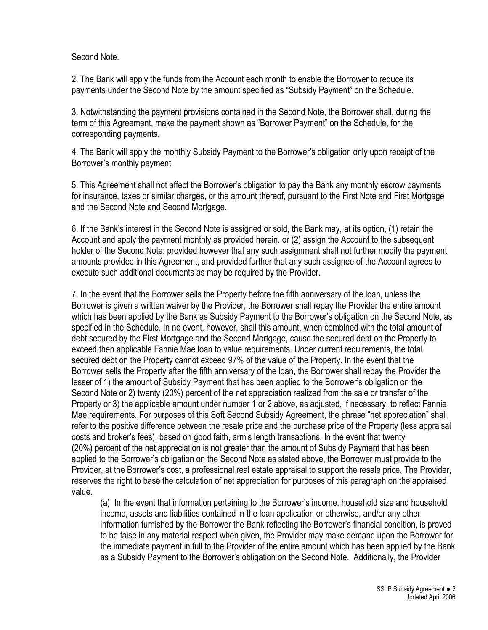Second Note.

2. The Bank will apply the funds from the Account each month to enable the Borrower to reduce its payments under the Second Note by the amount specified as "Subsidy Payment" on the Schedule.

3. Notwithstanding the payment provisions contained in the Second Note, the Borrower shall, during the term of this Agreement, make the payment shown as "Borrower Payment" on the Schedule, for the corresponding payments.

4. The Bank will apply the monthly Subsidy Payment to the Borrower's obligation only upon receipt of the Borrower's monthly payment.

5. This Agreement shall not affect the Borrower's obligation to pay the Bank any monthly escrow payments for insurance, taxes or similar charges, or the amount thereof, pursuant to the First Note and First Mortgage and the Second Note and Second Mortgage.

6. If the Bank's interest in the Second Note is assigned or sold, the Bank may, at its option, (1) retain the Account and apply the payment monthly as provided herein, or (2) assign the Account to the subsequent holder of the Second Note; provided however that any such assignment shall not further modify the payment amounts provided in this Agreement, and provided further that any such assignee of the Account agrees to execute such additional documents as may be required by the Provider.

7. In the event that the Borrower sells the Property before the fifth anniversary of the loan, unless the Borrower is given a written waiver by the Provider, the Borrower shall repay the Provider the entire amount which has been applied by the Bank as Subsidy Payment to the Borrower's obligation on the Second Note, as specified in the Schedule. In no event, however, shall this amount, when combined with the total amount of debt secured by the First Mortgage and the Second Mortgage, cause the secured debt on the Property to exceed then applicable Fannie Mae loan to value requirements. Under current requirements, the total secured debt on the Property cannot exceed 97% of the value of the Property. In the event that the Borrower sells the Property after the fifth anniversary of the loan, the Borrower shall repay the Provider the lesser of 1) the amount of Subsidy Payment that has been applied to the Borrower's obligation on the Second Note or 2) twenty (20%) percent of the net appreciation realized from the sale or transfer of the Property or 3) the applicable amount under number 1 or 2 above, as adjusted, if necessary, to reflect Fannie Mae requirements. For purposes of this Soft Second Subsidy Agreement, the phrase "net appreciation" shall refer to the positive difference between the resale price and the purchase price of the Property (less appraisal costs and broker's fees), based on good faith, arm's length transactions. In the event that twenty (20%) percent of the net appreciation is not greater than the amount of Subsidy Payment that has been applied to the Borrower's obligation on the Second Note as stated above, the Borrower must provide to the Provider, at the Borrower's cost, a professional real estate appraisal to support the resale price. The Provider, reserves the right to base the calculation of net appreciation for purposes of this paragraph on the appraised value.

(a) In the event that information pertaining to the Borrower's income, household size and household income, assets and liabilities contained in the loan application or otherwise, and/or any other information furnished by the Borrower the Bank reflecting the Borrower's financial condition, is proved to be false in any material respect when given, the Provider may make demand upon the Borrower for the immediate payment in full to the Provider of the entire amount which has been applied by the Bank as a Subsidy Payment to the Borrower's obligation on the Second Note. Additionally, the Provider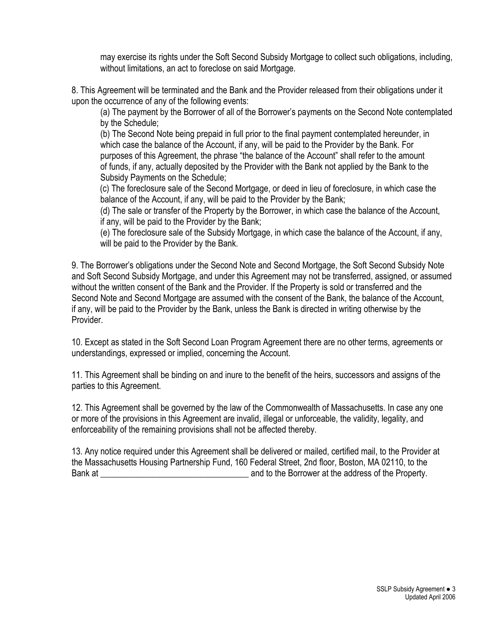may exercise its rights under the Soft Second Subsidy Mortgage to collect such obligations, including, without limitations, an act to foreclose on said Mortgage.

8. This Agreement will be terminated and the Bank and the Provider released from their obligations under it upon the occurrence of any of the following events:

(a) The payment by the Borrower of all of the Borrower's payments on the Second Note contemplated by the Schedule;

(b) The Second Note being prepaid in full prior to the final payment contemplated hereunder, in which case the balance of the Account, if any, will be paid to the Provider by the Bank. For purposes of this Agreement, the phrase "the balance of the Account" shall refer to the amount of funds, if any, actually deposited by the Provider with the Bank not applied by the Bank to the Subsidy Payments on the Schedule;

 (c) The foreclosure sale of the Second Mortgage, or deed in lieu of foreclosure, in which case the balance of the Account, if any, will be paid to the Provider by the Bank;

(d) The sale or transfer of the Property by the Borrower, in which case the balance of the Account, if any, will be paid to the Provider by the Bank;

(e) The foreclosure sale of the Subsidy Mortgage, in which case the balance of the Account, if any, will be paid to the Provider by the Bank.

9. The Borrower's obligations under the Second Note and Second Mortgage, the Soft Second Subsidy Note and Soft Second Subsidy Mortgage, and under this Agreement may not be transferred, assigned, or assumed without the written consent of the Bank and the Provider. If the Property is sold or transferred and the Second Note and Second Mortgage are assumed with the consent of the Bank, the balance of the Account, if any, will be paid to the Provider by the Bank, unless the Bank is directed in writing otherwise by the Provider.

10. Except as stated in the Soft Second Loan Program Agreement there are no other terms, agreements or understandings, expressed or implied, concerning the Account.

11. This Agreement shall be binding on and inure to the benefit of the heirs, successors and assigns of the parties to this Agreement.

12. This Agreement shall be governed by the law of the Commonwealth of Massachusetts. In case any one or more of the provisions in this Agreement are invalid, illegal or unforceable, the validity, legality, and enforceability of the remaining provisions shall not be affected thereby.

13. Any notice required under this Agreement shall be delivered or mailed, certified mail, to the Provider at the Massachusetts Housing Partnership Fund, 160 Federal Street, 2nd floor, Boston, MA 02110, to the Bank at the Borrower at the address of the Property.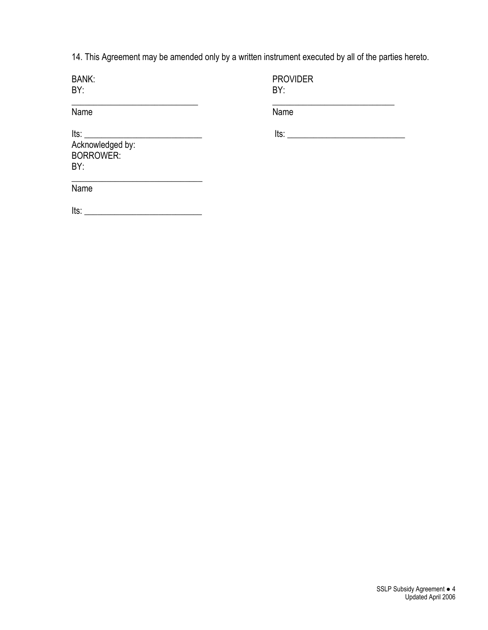14. This Agreement may be amended only by a written instrument executed by all of the parties hereto.

BY: BY:

BANK: PROVIDER<br>BY: PROVIDER

Name

\_\_\_\_\_\_\_\_\_\_\_\_\_\_\_\_\_\_\_\_\_\_\_\_\_\_\_\_\_ \_\_\_\_\_\_\_\_\_\_\_\_\_\_\_\_\_\_\_\_\_\_\_\_\_\_\_\_

Its: \_\_\_\_\_\_\_\_\_\_\_\_\_\_\_\_\_\_\_\_\_\_\_\_\_\_\_ Its: \_\_\_\_\_\_\_\_\_\_\_\_\_\_\_\_\_\_\_\_\_\_\_\_\_\_\_

Acknowledged by: BORROWER: BY:

Name

 $Its: ____________$ 

 $\mathcal{L}=\{1,2,3,4,5\}$